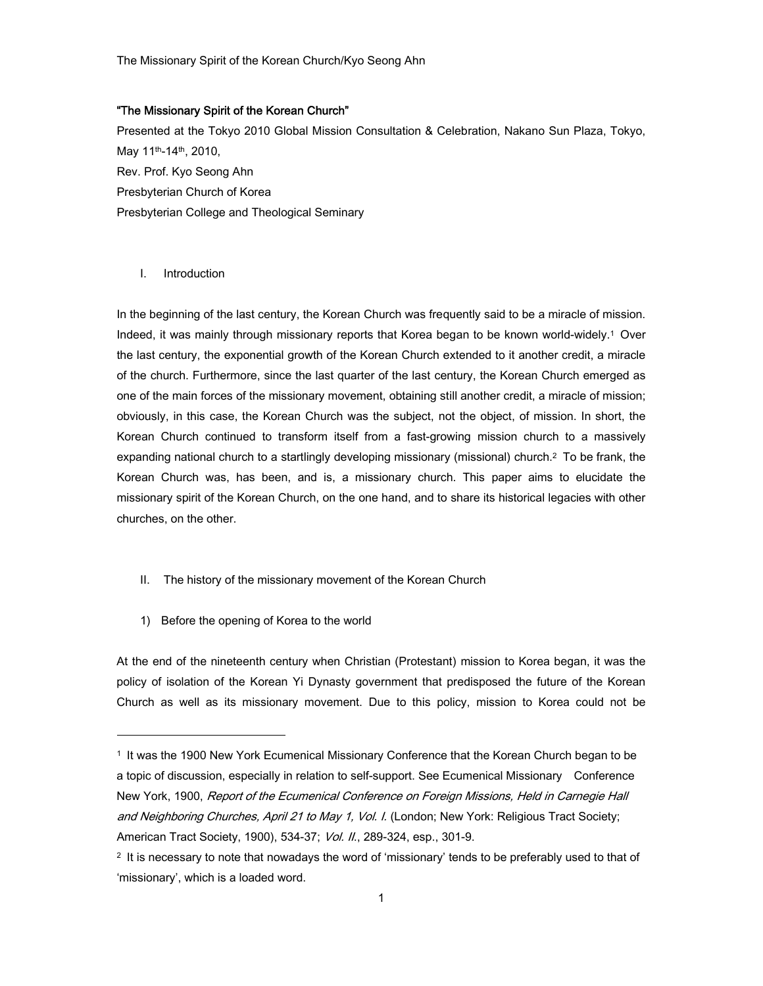The Missionary Spirit of the Korean Church/Kyo Seong Ahn

# "The Missionary Spirit of the Korean Church"

Presented at the Tokyo 2010 Global Mission Consultation & Celebration, Nakano Sun Plaza, Tokyo, May 11th-14th, 2010, Rev. Prof. Kyo Seong Ahn Presbyterian Church of Korea Presbyterian College and Theological Seminary

### I. Introduction

-

In the beginning of the last century, the Korean Church was frequently said to be a miracle of mission. Indeed, it was mainly through missionary reports that Korea began to be known world-widely.1 Over the last century, the exponential growth of the Korean Church extended to it another credit, a miracle of the church. Furthermore, since the last quarter of the last century, the Korean Church emerged as one of the main forces of the missionary movement, obtaining still another credit, a miracle of mission; obviously, in this case, the Korean Church was the subject, not the object, of mission. In short, the Korean Church continued to transform itself from a fast-growing mission church to a massively expanding national church to a startlingly developing missionary (missional) church.2 To be frank, the Korean Church was, has been, and is, a missionary church. This paper aims to elucidate the missionary spirit of the Korean Church, on the one hand, and to share its historical legacies with other churches, on the other.

- II. The history of the missionary movement of the Korean Church
- 1) Before the opening of Korea to the world

At the end of the nineteenth century when Christian (Protestant) mission to Korea began, it was the policy of isolation of the Korean Yi Dynasty government that predisposed the future of the Korean Church as well as its missionary movement. Due to this policy, mission to Korea could not be

<sup>1</sup> It was the 1900 New York Ecumenical Missionary Conference that the Korean Church began to be a topic of discussion, especially in relation to self-support. See Ecumenical Missionary Conference New York, 1900, Report of the Ecumenical Conference on Foreign Missions, Held in Carnegie Hall and Neighboring Churches, April 21 to May 1, Vol. I. (London; New York: Religious Tract Society; American Tract Society, 1900), 534-37; Vol. II., 289-324, esp., 301-9.

<sup>2</sup> It is necessary to note that nowadays the word of 'missionary' tends to be preferably used to that of 'missionary', which is a loaded word.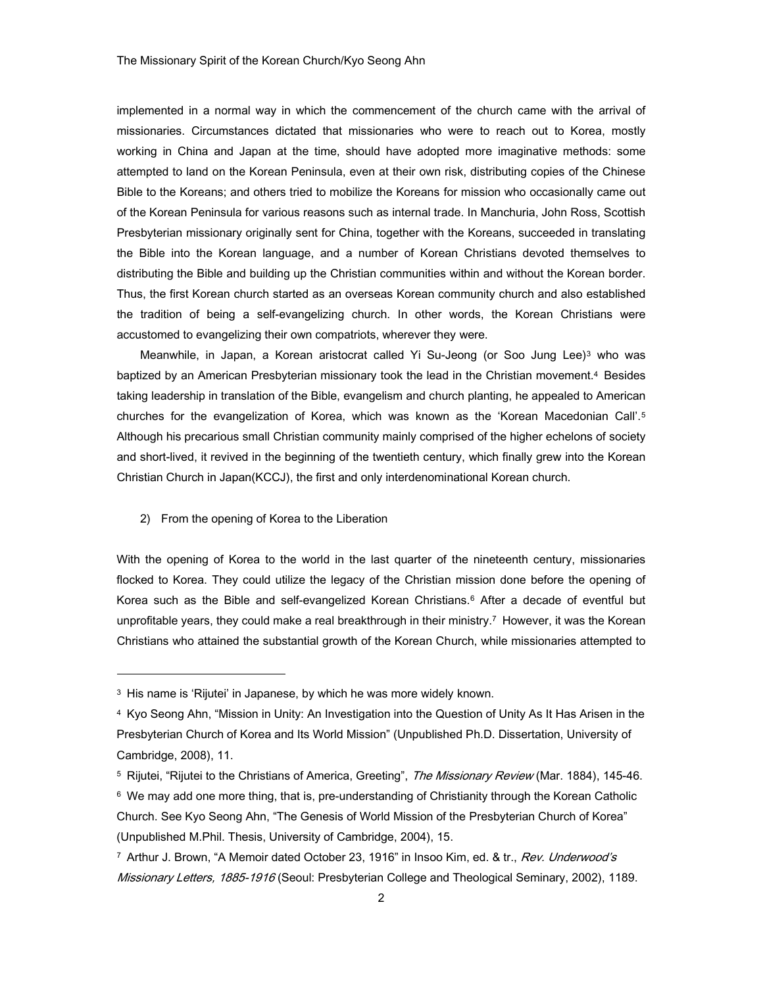implemented in a normal way in which the commencement of the church came with the arrival of missionaries. Circumstances dictated that missionaries who were to reach out to Korea, mostly working in China and Japan at the time, should have adopted more imaginative methods: some attempted to land on the Korean Peninsula, even at their own risk, distributing copies of the Chinese Bible to the Koreans; and others tried to mobilize the Koreans for mission who occasionally came out of the Korean Peninsula for various reasons such as internal trade. In Manchuria, John Ross, Scottish Presbyterian missionary originally sent for China, together with the Koreans, succeeded in translating the Bible into the Korean language, and a number of Korean Christians devoted themselves to distributing the Bible and building up the Christian communities within and without the Korean border. Thus, the first Korean church started as an overseas Korean community church and also established the tradition of being a self-evangelizing church. In other words, the Korean Christians were accustomed to evangelizing their own compatriots, wherever they were.

Meanwhile, in Japan, a Korean aristocrat called Yi Su-Jeong (or Soo Jung Lee)<sup>3</sup> who was baptized by an American Presbyterian missionary took the lead in the Christian movement.4 Besides taking leadership in translation of the Bible, evangelism and church planting, he appealed to American churches for the evangelization of Korea, which was known as the 'Korean Macedonian Call'.5 Although his precarious small Christian community mainly comprised of the higher echelons of society and short-lived, it revived in the beginning of the twentieth century, which finally grew into the Korean Christian Church in Japan(KCCJ), the first and only interdenominational Korean church.

#### 2) From the opening of Korea to the Liberation

-

With the opening of Korea to the world in the last quarter of the nineteenth century, missionaries flocked to Korea. They could utilize the legacy of the Christian mission done before the opening of Korea such as the Bible and self-evangelized Korean Christians.<sup>6</sup> After a decade of eventful but unprofitable years, they could make a real breakthrough in their ministry.7 However, it was the Korean Christians who attained the substantial growth of the Korean Church, while missionaries attempted to

<sup>3</sup> His name is 'Rijutei' in Japanese, by which he was more widely known.

<sup>4</sup> Kyo Seong Ahn, "Mission in Unity: An Investigation into the Question of Unity As It Has Arisen in the Presbyterian Church of Korea and Its World Mission" (Unpublished Ph.D. Dissertation, University of Cambridge, 2008), 11.

<sup>&</sup>lt;sup>5</sup> Rijutei, "Rijutei to the Christians of America, Greeting", *The Missionary Review* (Mar. 1884), 145-46.

<sup>&</sup>lt;sup>6</sup> We may add one more thing, that is, pre-understanding of Christianity through the Korean Catholic Church. See Kyo Seong Ahn, "The Genesis of World Mission of the Presbyterian Church of Korea" (Unpublished M.Phil. Thesis, University of Cambridge, 2004), 15.

<sup>&</sup>lt;sup>7</sup> Arthur J. Brown, "A Memoir dated October 23, 1916" in Insoo Kim, ed. & tr., Rev. Underwood's Missionary Letters, 1885-1916 (Seoul: Presbyterian College and Theological Seminary, 2002), 1189.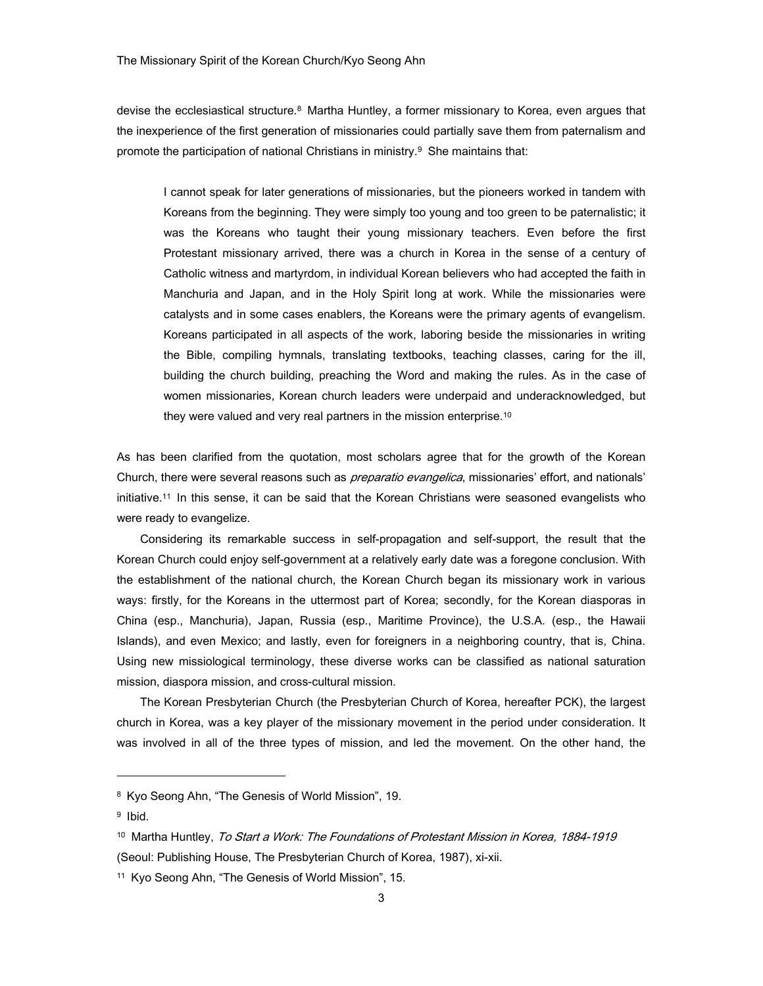devise the ecclesiastical structure.8 Martha Huntley, a former missionary to Korea, even argues that the inexperience of the first generation of missionaries could partially save them from paternalism and promote the participation of national Christians in ministry.<sup>9</sup> She maintains that:

I cannot speak for later generations of missionaries, but the pioneers worked in tandem with Koreans from the beginning. They were simply too young and too green to be paternalistic; it was the Koreans who taught their young missionary teachers. Even before the first Protestant missionary arrived, there was a church in Korea in the sense of a century of Catholic witness and martyrdom, in individual Korean believers who had accepted the faith in Manchuria and Japan, and in the Holy Spirit long at work. While the missionaries were catalysts and in some cases enablers, the Koreans were the primary agents of evangelism. Koreans participated in all aspects of the work, laboring beside the missionaries in writing the Bible, compiling hymnals, translating textbooks, teaching classes, caring for the ill, building the church building, preaching the Word and making the rules. As in the case of women missionaries, Korean church leaders were underpaid and underacknowledged, but they were valued and very real partners in the mission enterprise.10

As has been clarified from the quotation, most scholars agree that for the growth of the Korean Church, there were several reasons such as *preparatio evangelica*, missionaries' effort, and nationals' initiative.11 In this sense, it can be said that the Korean Christians were seasoned evangelists who were ready to evangelize.

Considering its remarkable success in self-propagation and self-support, the result that the Korean Church could enjoy self-government at a relatively early date was a foregone conclusion. With the establishment of the national church, the Korean Church began its missionary work in various ways: firstly, for the Koreans in the uttermost part of Korea; secondly, for the Korean diasporas in China (esp., Manchuria), Japan, Russia (esp., Maritime Province), the U.S.A. (esp., the Hawaii Islands), and even Mexico; and lastly, even for foreigners in a neighboring country, that is, China. Using new missiological terminology, these diverse works can be classified as national saturation mission, diaspora mission, and cross-cultural mission.

The Korean Presbyterian Church (the Presbyterian Church of Korea, hereafter PCK), the largest church in Korea, was a key player of the missionary movement in the period under consideration. It was involved in all of the three types of mission, and led the movement. On the other hand, the

-

<sup>8</sup> Kyo Seong Ahn, "The Genesis of World Mission", 19.

<sup>9</sup> Ibid.

<sup>&</sup>lt;sup>10</sup> Martha Huntley, To Start a Work: The Foundations of Protestant Mission in Korea, 1884-1919 (Seoul: Publishing House, The Presbyterian Church of Korea, 1987), xi-xii.

<sup>11</sup> Kyo Seong Ahn, "The Genesis of World Mission", 15.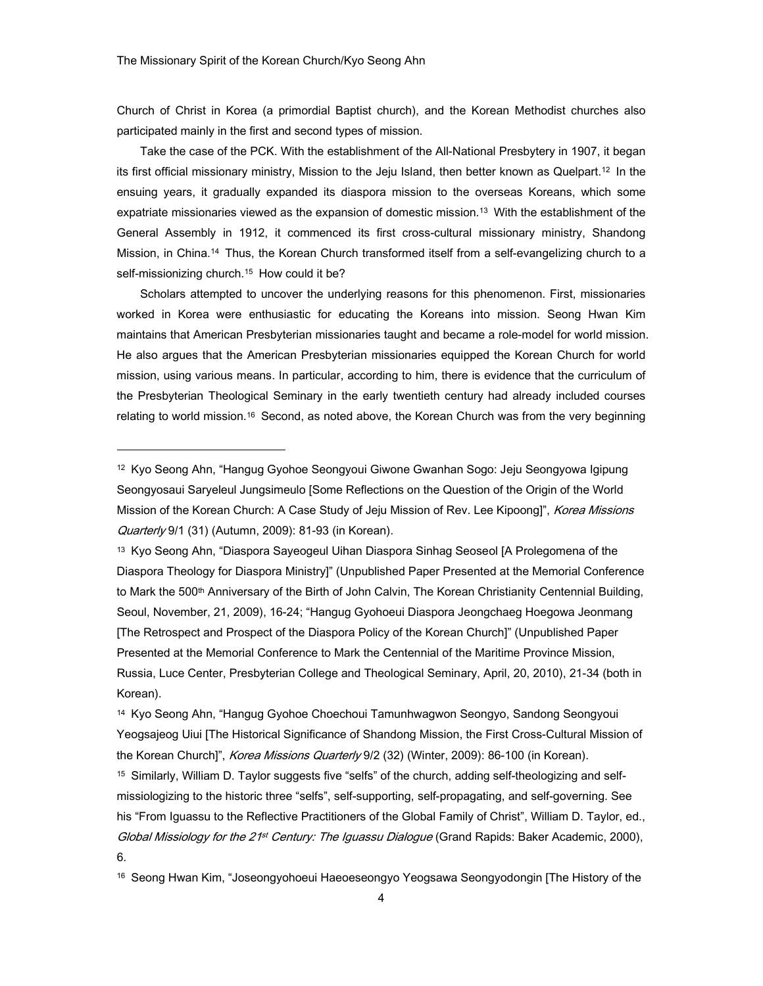Church of Christ in Korea (a primordial Baptist church), and the Korean Methodist churches also participated mainly in the first and second types of mission.

Take the case of the PCK. With the establishment of the All-National Presbytery in 1907, it began its first official missionary ministry, Mission to the Jeju Island, then better known as Quelpart.12 In the ensuing years, it gradually expanded its diaspora mission to the overseas Koreans, which some expatriate missionaries viewed as the expansion of domestic mission.13 With the establishment of the General Assembly in 1912, it commenced its first cross-cultural missionary ministry, Shandong Mission, in China.14 Thus, the Korean Church transformed itself from a self-evangelizing church to a self-missionizing church.<sup>15</sup> How could it be?

Scholars attempted to uncover the underlying reasons for this phenomenon. First, missionaries worked in Korea were enthusiastic for educating the Koreans into mission. Seong Hwan Kim maintains that American Presbyterian missionaries taught and became a role-model for world mission. He also argues that the American Presbyterian missionaries equipped the Korean Church for world mission, using various means. In particular, according to him, there is evidence that the curriculum of the Presbyterian Theological Seminary in the early twentieth century had already included courses relating to world mission.<sup>16</sup> Second, as noted above, the Korean Church was from the very beginning

13 Kyo Seong Ahn, "Diaspora Sayeogeul Uihan Diaspora Sinhag Seoseol [A Prolegomena of the Diaspora Theology for Diaspora Ministry]" (Unpublished Paper Presented at the Memorial Conference to Mark the 500<sup>th</sup> Anniversary of the Birth of John Calvin, The Korean Christianity Centennial Building, Seoul, November, 21, 2009), 16-24; "Hangug Gyohoeui Diaspora Jeongchaeg Hoegowa Jeonmang [The Retrospect and Prospect of the Diaspora Policy of the Korean Church]" (Unpublished Paper Presented at the Memorial Conference to Mark the Centennial of the Maritime Province Mission, Russia, Luce Center, Presbyterian College and Theological Seminary, April, 20, 2010), 21-34 (both in Korean).

14 Kyo Seong Ahn, "Hangug Gyohoe Choechoui Tamunhwagwon Seongyo, Sandong Seongyoui Yeogsajeog Uiui [The Historical Significance of Shandong Mission, the First Cross-Cultural Mission of the Korean Church]", Korea Missions Quarterly 9/2 (32) (Winter, 2009): 86-100 (in Korean).

15 Similarly, William D. Taylor suggests five "selfs" of the church, adding self-theologizing and selfmissiologizing to the historic three "selfs", self-supporting, self-propagating, and self-governing. See his "From Iguassu to the Reflective Practitioners of the Global Family of Christ", William D. Taylor, ed., Global Missiology for the 21<sup>st</sup> Century: The Iguassu Dialogue (Grand Rapids: Baker Academic, 2000), 6.

16 Seong Hwan Kim, "Joseongyohoeui Haeoeseongyo Yeogsawa Seongyodongin [The History of the

<sup>12</sup> Kyo Seong Ahn, "Hangug Gyohoe Seongyoui Giwone Gwanhan Sogo: Jeju Seongyowa Igipung Seongyosaui Saryeleul Jungsimeulo [Some Reflections on the Question of the Origin of the World Mission of the Korean Church: A Case Study of Jeju Mission of Rev. Lee Kipoong]", *Korea Missions* Quarterly 9/1 (31) (Autumn, 2009): 81-93 (in Korean).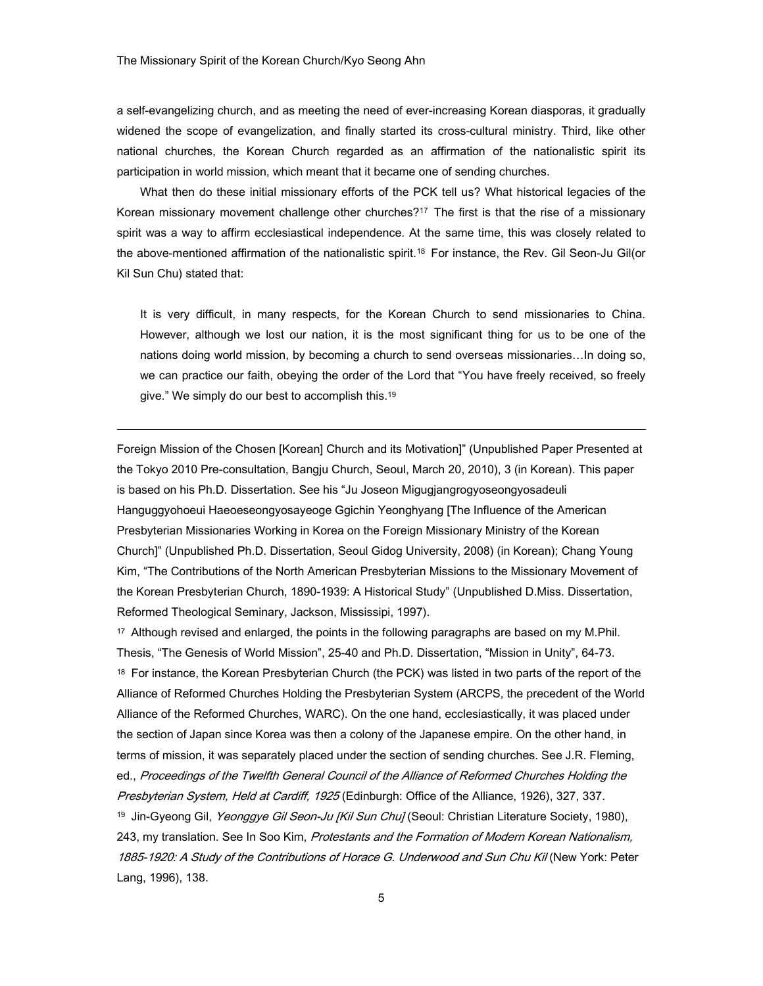a self-evangelizing church, and as meeting the need of ever-increasing Korean diasporas, it gradually widened the scope of evangelization, and finally started its cross-cultural ministry. Third, like other national churches, the Korean Church regarded as an affirmation of the nationalistic spirit its participation in world mission, which meant that it became one of sending churches.

What then do these initial missionary efforts of the PCK tell us? What historical legacies of the Korean missionary movement challenge other churches?<sup>17</sup> The first is that the rise of a missionary spirit was a way to affirm ecclesiastical independence. At the same time, this was closely related to the above-mentioned affirmation of the nationalistic spirit.18 For instance, the Rev. Gil Seon-Ju Gil(or Kil Sun Chu) stated that:

It is very difficult, in many respects, for the Korean Church to send missionaries to China. However, although we lost our nation, it is the most significant thing for us to be one of the nations doing world mission, by becoming a church to send overseas missionaries…In doing so, we can practice our faith, obeying the order of the Lord that "You have freely received, so freely give." We simply do our best to accomplish this.19

Foreign Mission of the Chosen [Korean] Church and its Motivation]" (Unpublished Paper Presented at the Tokyo 2010 Pre-consultation, Bangju Church, Seoul, March 20, 2010), 3 (in Korean). This paper is based on his Ph.D. Dissertation. See his "Ju Joseon Migugjangrogyoseongyosadeuli Hanguggyohoeui Haeoeseongyosayeoge Ggichin Yeonghyang [The Influence of the American Presbyterian Missionaries Working in Korea on the Foreign Missionary Ministry of the Korean Church]" (Unpublished Ph.D. Dissertation, Seoul Gidog University, 2008) (in Korean); Chang Young Kim, "The Contributions of the North American Presbyterian Missions to the Missionary Movement of the Korean Presbyterian Church, 1890-1939: A Historical Study" (Unpublished D.Miss. Dissertation, Reformed Theological Seminary, Jackson, Mississipi, 1997).

17 Although revised and enlarged, the points in the following paragraphs are based on my M.Phil. Thesis, "The Genesis of World Mission", 25-40 and Ph.D. Dissertation, "Mission in Unity", 64-73. 18 For instance, the Korean Presbyterian Church (the PCK) was listed in two parts of the report of the Alliance of Reformed Churches Holding the Presbyterian System (ARCPS, the precedent of the World Alliance of the Reformed Churches, WARC). On the one hand, ecclesiastically, it was placed under the section of Japan since Korea was then a colony of the Japanese empire. On the other hand, in terms of mission, it was separately placed under the section of sending churches. See J.R. Fleming, ed., Proceedings of the Twelfth General Council of the Alliance of Reformed Churches Holding the Presbyterian System, Held at Cardiff, 1925 (Edinburgh: Office of the Alliance, 1926), 327, 337. <sup>19</sup> Jin-Gyeong Gil, *Yeonggye Gil Seon-Ju [Kil Sun Chu]* (Seoul: Christian Literature Society, 1980), 243, my translation. See In Soo Kim, Protestants and the Formation of Modern Korean Nationalism, 1885-1920: A Study of the Contributions of Horace G. Underwood and Sun Chu Kil (New York: Peter Lang, 1996), 138.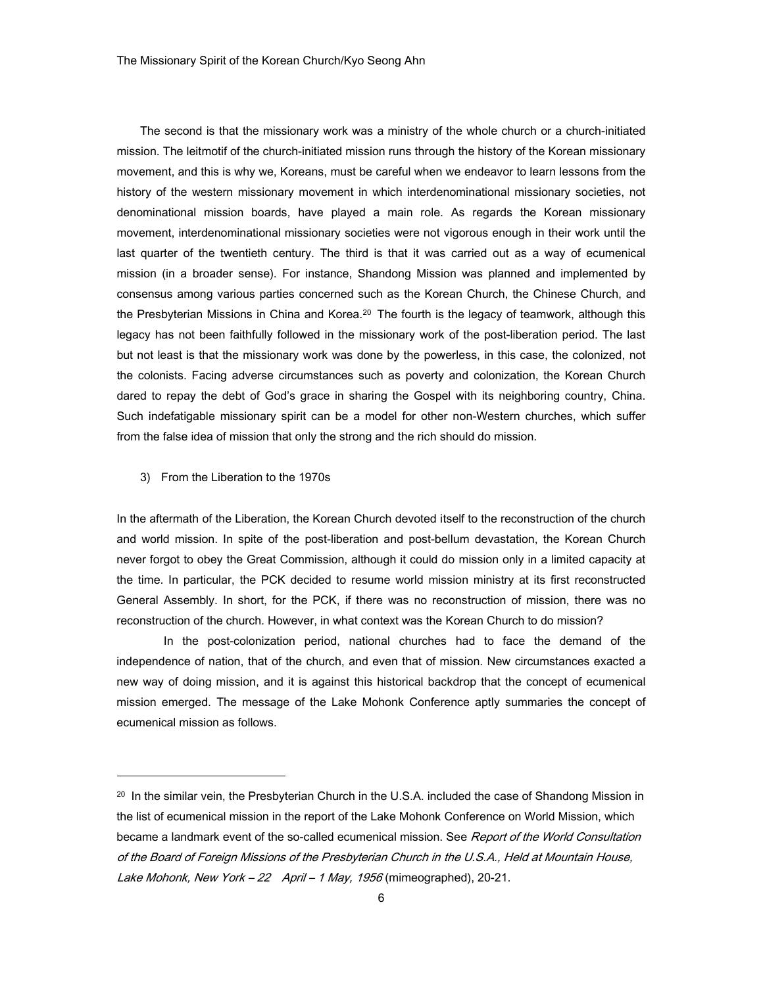The second is that the missionary work was a ministry of the whole church or a church-initiated mission. The leitmotif of the church-initiated mission runs through the history of the Korean missionary movement, and this is why we, Koreans, must be careful when we endeavor to learn lessons from the history of the western missionary movement in which interdenominational missionary societies, not denominational mission boards, have played a main role. As regards the Korean missionary movement, interdenominational missionary societies were not vigorous enough in their work until the last quarter of the twentieth century. The third is that it was carried out as a way of ecumenical mission (in a broader sense). For instance, Shandong Mission was planned and implemented by consensus among various parties concerned such as the Korean Church, the Chinese Church, and the Presbyterian Missions in China and Korea.<sup>20</sup> The fourth is the legacy of teamwork, although this legacy has not been faithfully followed in the missionary work of the post-liberation period. The last but not least is that the missionary work was done by the powerless, in this case, the colonized, not the colonists. Facing adverse circumstances such as poverty and colonization, the Korean Church dared to repay the debt of God's grace in sharing the Gospel with its neighboring country, China. Such indefatigable missionary spirit can be a model for other non-Western churches, which suffer from the false idea of mission that only the strong and the rich should do mission.

3) From the Liberation to the 1970s

-

In the aftermath of the Liberation, the Korean Church devoted itself to the reconstruction of the church and world mission. In spite of the post-liberation and post-bellum devastation, the Korean Church never forgot to obey the Great Commission, although it could do mission only in a limited capacity at the time. In particular, the PCK decided to resume world mission ministry at its first reconstructed General Assembly. In short, for the PCK, if there was no reconstruction of mission, there was no reconstruction of the church. However, in what context was the Korean Church to do mission?

 In the post-colonization period, national churches had to face the demand of the independence of nation, that of the church, and even that of mission. New circumstances exacted a new way of doing mission, and it is against this historical backdrop that the concept of ecumenical mission emerged. The message of the Lake Mohonk Conference aptly summaries the concept of ecumenical mission as follows.

<sup>&</sup>lt;sup>20</sup> In the similar vein, the Presbyterian Church in the U.S.A. included the case of Shandong Mission in the list of ecumenical mission in the report of the Lake Mohonk Conference on World Mission, which became a landmark event of the so-called ecumenical mission. See Report of the World Consultation of the Board of Foreign Missions of the Presbyterian Church in the U.S.A., Held at Mountain House, Lake Mohonk, New York - 22 April - 1 May, 1956 (mimeographed), 20-21.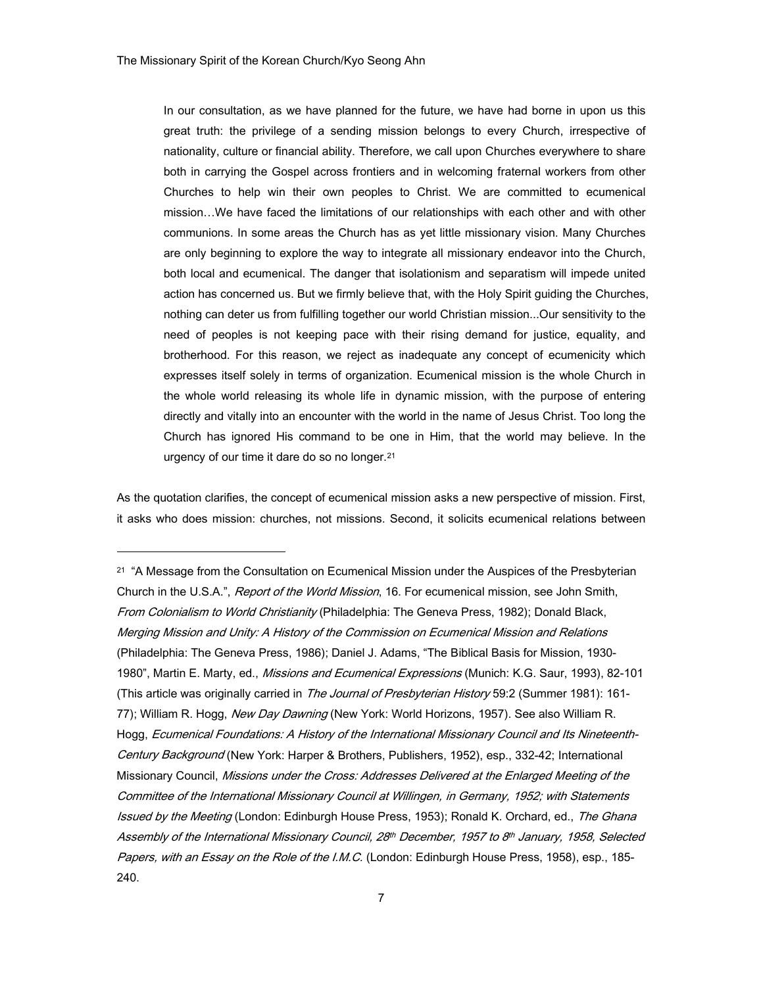In our consultation, as we have planned for the future, we have had borne in upon us this great truth: the privilege of a sending mission belongs to every Church, irrespective of nationality, culture or financial ability. Therefore, we call upon Churches everywhere to share both in carrying the Gospel across frontiers and in welcoming fraternal workers from other Churches to help win their own peoples to Christ. We are committed to ecumenical mission…We have faced the limitations of our relationships with each other and with other communions. In some areas the Church has as yet little missionary vision. Many Churches are only beginning to explore the way to integrate all missionary endeavor into the Church, both local and ecumenical. The danger that isolationism and separatism will impede united action has concerned us. But we firmly believe that, with the Holy Spirit guiding the Churches, nothing can deter us from fulfilling together our world Christian mission...Our sensitivity to the need of peoples is not keeping pace with their rising demand for justice, equality, and brotherhood. For this reason, we reject as inadequate any concept of ecumenicity which expresses itself solely in terms of organization. Ecumenical mission is the whole Church in the whole world releasing its whole life in dynamic mission, with the purpose of entering directly and vitally into an encounter with the world in the name of Jesus Christ. Too long the Church has ignored His command to be one in Him, that the world may believe. In the urgency of our time it dare do so no longer.21

As the quotation clarifies, the concept of ecumenical mission asks a new perspective of mission. First, it asks who does mission: churches, not missions. Second, it solicits ecumenical relations between

<sup>&</sup>lt;sup>21</sup> "A Message from the Consultation on Ecumenical Mission under the Auspices of the Presbyterian Church in the U.S.A.", *Report of the World Mission*, 16. For ecumenical mission, see John Smith, From Colonialism to World Christianity (Philadelphia: The Geneva Press, 1982); Donald Black, Merging Mission and Unity: A History of the Commission on Ecumenical Mission and Relations (Philadelphia: The Geneva Press, 1986); Daniel J. Adams, "The Biblical Basis for Mission, 1930- 1980", Martin E. Marty, ed., *Missions and Ecumenical Expressions* (Munich: K.G. Saur, 1993), 82-101 (This article was originally carried in The Journal of Presbyterian History 59:2 (Summer 1981): 161-77); William R. Hogg, New Day Dawning (New York: World Horizons, 1957). See also William R. Hogg, Ecumenical Foundations: A History of the International Missionary Council and Its Nineteenth-Century Background (New York: Harper & Brothers, Publishers, 1952), esp., 332-42; International Missionary Council, Missions under the Cross: Addresses Delivered at the Enlarged Meeting of the Committee of the International Missionary Council at Willingen, in Germany, 1952; with Statements Issued by the Meeting (London: Edinburgh House Press, 1953); Ronald K. Orchard, ed., The Ghana Assembly of the International Missionary Council, 28th December, 1957 to 8th January, 1958, Selected Papers, with an Essay on the Role of the I.M.C. (London: Edinburgh House Press, 1958), esp., 185-240.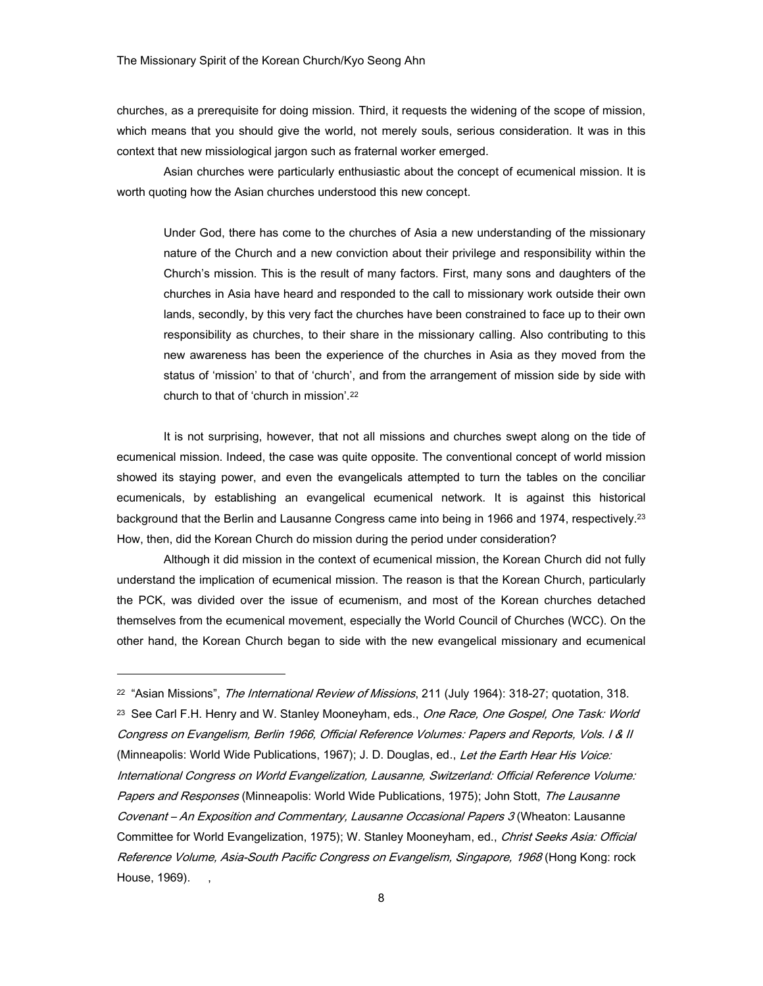churches, as a prerequisite for doing mission. Third, it requests the widening of the scope of mission, which means that you should give the world, not merely souls, serious consideration. It was in this context that new missiological jargon such as fraternal worker emerged.

 Asian churches were particularly enthusiastic about the concept of ecumenical mission. It is worth quoting how the Asian churches understood this new concept.

Under God, there has come to the churches of Asia a new understanding of the missionary nature of the Church and a new conviction about their privilege and responsibility within the Church's mission. This is the result of many factors. First, many sons and daughters of the churches in Asia have heard and responded to the call to missionary work outside their own lands, secondly, by this very fact the churches have been constrained to face up to their own responsibility as churches, to their share in the missionary calling. Also contributing to this new awareness has been the experience of the churches in Asia as they moved from the status of 'mission' to that of 'church', and from the arrangement of mission side by side with church to that of 'church in mission'.22

 It is not surprising, however, that not all missions and churches swept along on the tide of ecumenical mission. Indeed, the case was quite opposite. The conventional concept of world mission showed its staying power, and even the evangelicals attempted to turn the tables on the conciliar ecumenicals, by establishing an evangelical ecumenical network. It is against this historical background that the Berlin and Lausanne Congress came into being in 1966 and 1974, respectively.23 How, then, did the Korean Church do mission during the period under consideration?

 Although it did mission in the context of ecumenical mission, the Korean Church did not fully understand the implication of ecumenical mission. The reason is that the Korean Church, particularly the PCK, was divided over the issue of ecumenism, and most of the Korean churches detached themselves from the ecumenical movement, especially the World Council of Churches (WCC). On the other hand, the Korean Church began to side with the new evangelical missionary and ecumenical

<sup>&</sup>lt;sup>22</sup> "Asian Missions", *The International Review of Missions*, 211 (July 1964): 318-27; quotation, 318. <sup>23</sup> See Carl F.H. Henry and W. Stanley Mooneyham, eds., *One Race, One Gospel, One Task: World* Congress on Evangelism, Berlin 1966, Official Reference Volumes: Papers and Reports, Vols. I & II (Minneapolis: World Wide Publications, 1967); J. D. Douglas, ed., Let the Earth Hear His Voice: International Congress on World Evangelization, Lausanne, Switzerland: Official Reference Volume: Papers and Responses (Minneapolis: World Wide Publications, 1975); John Stott, The Lausanne Covenant – An Exposition and Commentary, Lausanne Occasional Papers 3 (Wheaton: Lausanne Committee for World Evangelization, 1975); W. Stanley Mooneyham, ed., Christ Seeks Asia: Official Reference Volume, Asia-South Pacific Congress on Evangelism, Singapore, 1968 (Hong Kong: rock House, 1969).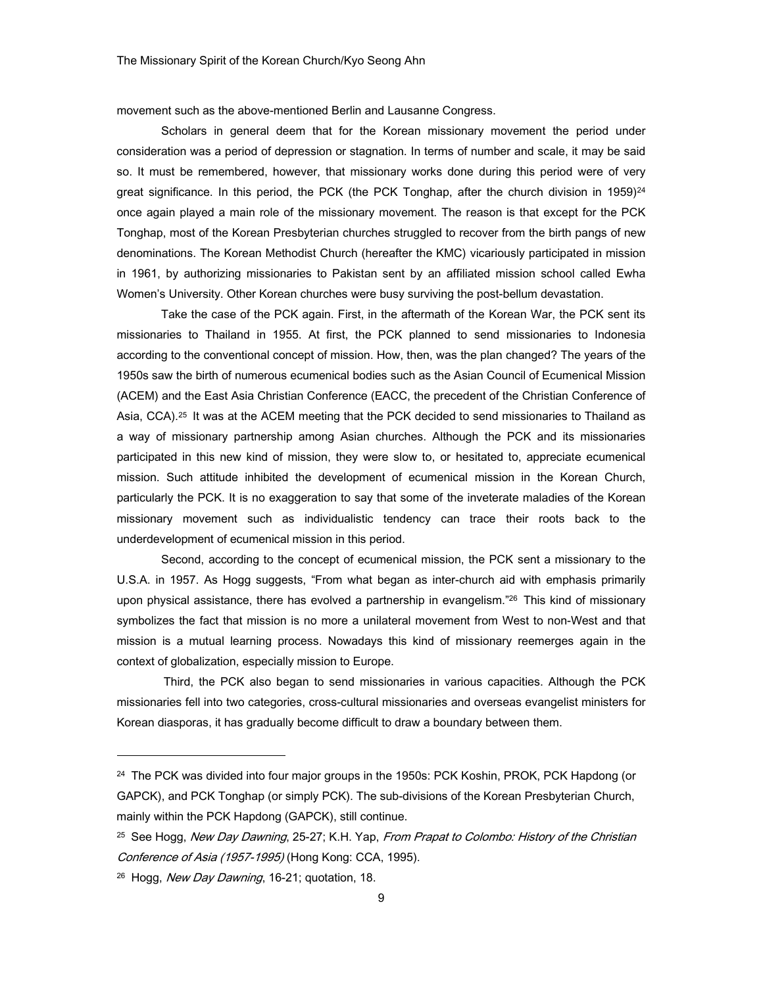movement such as the above-mentioned Berlin and Lausanne Congress.

Scholars in general deem that for the Korean missionary movement the period under consideration was a period of depression or stagnation. In terms of number and scale, it may be said so. It must be remembered, however, that missionary works done during this period were of very great significance. In this period, the PCK (the PCK Tonghap, after the church division in 1959)<sup>24</sup> once again played a main role of the missionary movement. The reason is that except for the PCK Tonghap, most of the Korean Presbyterian churches struggled to recover from the birth pangs of new denominations. The Korean Methodist Church (hereafter the KMC) vicariously participated in mission in 1961, by authorizing missionaries to Pakistan sent by an affiliated mission school called Ewha Women's University. Other Korean churches were busy surviving the post-bellum devastation.

Take the case of the PCK again. First, in the aftermath of the Korean War, the PCK sent its missionaries to Thailand in 1955. At first, the PCK planned to send missionaries to Indonesia according to the conventional concept of mission. How, then, was the plan changed? The years of the 1950s saw the birth of numerous ecumenical bodies such as the Asian Council of Ecumenical Mission (ACEM) and the East Asia Christian Conference (EACC, the precedent of the Christian Conference of Asia, CCA).<sup>25</sup> It was at the ACEM meeting that the PCK decided to send missionaries to Thailand as a way of missionary partnership among Asian churches. Although the PCK and its missionaries participated in this new kind of mission, they were slow to, or hesitated to, appreciate ecumenical mission. Such attitude inhibited the development of ecumenical mission in the Korean Church, particularly the PCK. It is no exaggeration to say that some of the inveterate maladies of the Korean missionary movement such as individualistic tendency can trace their roots back to the underdevelopment of ecumenical mission in this period.

Second, according to the concept of ecumenical mission, the PCK sent a missionary to the U.S.A. in 1957. As Hogg suggests, "From what began as inter-church aid with emphasis primarily upon physical assistance, there has evolved a partnership in evangelism."26 This kind of missionary symbolizes the fact that mission is no more a unilateral movement from West to non-West and that mission is a mutual learning process. Nowadays this kind of missionary reemerges again in the context of globalization, especially mission to Europe.

 Third, the PCK also began to send missionaries in various capacities. Although the PCK missionaries fell into two categories, cross-cultural missionaries and overseas evangelist ministers for Korean diasporas, it has gradually become difficult to draw a boundary between them.

-

<sup>&</sup>lt;sup>24</sup> The PCK was divided into four major groups in the 1950s: PCK Koshin, PROK, PCK Hapdong (or GAPCK), and PCK Tonghap (or simply PCK). The sub-divisions of the Korean Presbyterian Church, mainly within the PCK Hapdong (GAPCK), still continue.

<sup>&</sup>lt;sup>25</sup> See Hogg, New Day Dawning, 25-27; K.H. Yap, From Prapat to Colombo: History of the Christian Conference of Asia (1957-1995) (Hong Kong: CCA, 1995).

<sup>&</sup>lt;sup>26</sup> Hogg, New Day Dawning, 16-21; quotation, 18.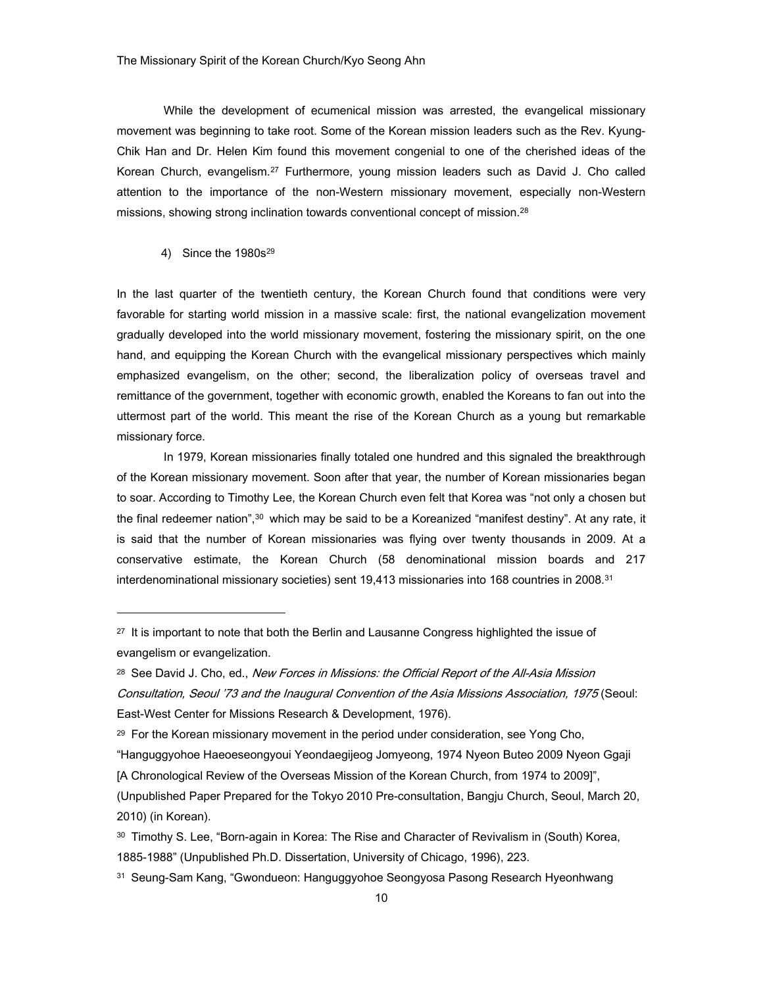While the development of ecumenical mission was arrested, the evangelical missionary movement was beginning to take root. Some of the Korean mission leaders such as the Rev. Kyung-Chik Han and Dr. Helen Kim found this movement congenial to one of the cherished ideas of the Korean Church, evangelism.27 Furthermore, young mission leaders such as David J. Cho called attention to the importance of the non-Western missionary movement, especially non-Western missions, showing strong inclination towards conventional concept of mission.28

# 4) Since the 1980s<sup>29</sup>

-

In the last quarter of the twentieth century, the Korean Church found that conditions were very favorable for starting world mission in a massive scale: first, the national evangelization movement gradually developed into the world missionary movement, fostering the missionary spirit, on the one hand, and equipping the Korean Church with the evangelical missionary perspectives which mainly emphasized evangelism, on the other; second, the liberalization policy of overseas travel and remittance of the government, together with economic growth, enabled the Koreans to fan out into the uttermost part of the world. This meant the rise of the Korean Church as a young but remarkable missionary force.

In 1979, Korean missionaries finally totaled one hundred and this signaled the breakthrough of the Korean missionary movement. Soon after that year, the number of Korean missionaries began to soar. According to Timothy Lee, the Korean Church even felt that Korea was "not only a chosen but the final redeemer nation",30 which may be said to be a Koreanized "manifest destiny". At any rate, it is said that the number of Korean missionaries was flying over twenty thousands in 2009. At a conservative estimate, the Korean Church (58 denominational mission boards and 217 interdenominational missionary societies) sent 19,413 missionaries into 168 countries in 2008.31

- "Hanguggyohoe Haeoeseongyoui Yeondaegijeog Jomyeong, 1974 Nyeon Buteo 2009 Nyeon Ggaji
- [A Chronological Review of the Overseas Mission of the Korean Church, from 1974 to 2009]",

- 30 Timothy S. Lee, "Born-again in Korea: The Rise and Character of Revivalism in (South) Korea, 1885-1988" (Unpublished Ph.D. Dissertation, University of Chicago, 1996), 223.
- 31 Seung-Sam Kang, "Gwondueon: Hanguggyohoe Seongyosa Pasong Research Hyeonhwang

<sup>&</sup>lt;sup>27</sup> It is important to note that both the Berlin and Lausanne Congress highlighted the issue of evangelism or evangelization.

<sup>&</sup>lt;sup>28</sup> See David J. Cho, ed., New Forces in Missions: the Official Report of the All-Asia Mission Consultation, Seoul '73 and the Inaugural Convention of the Asia Missions Association, 1975 (Seoul: East-West Center for Missions Research & Development, 1976).

<sup>29</sup> For the Korean missionary movement in the period under consideration, see Yong Cho,

<sup>(</sup>Unpublished Paper Prepared for the Tokyo 2010 Pre-consultation, Bangju Church, Seoul, March 20, 2010) (in Korean).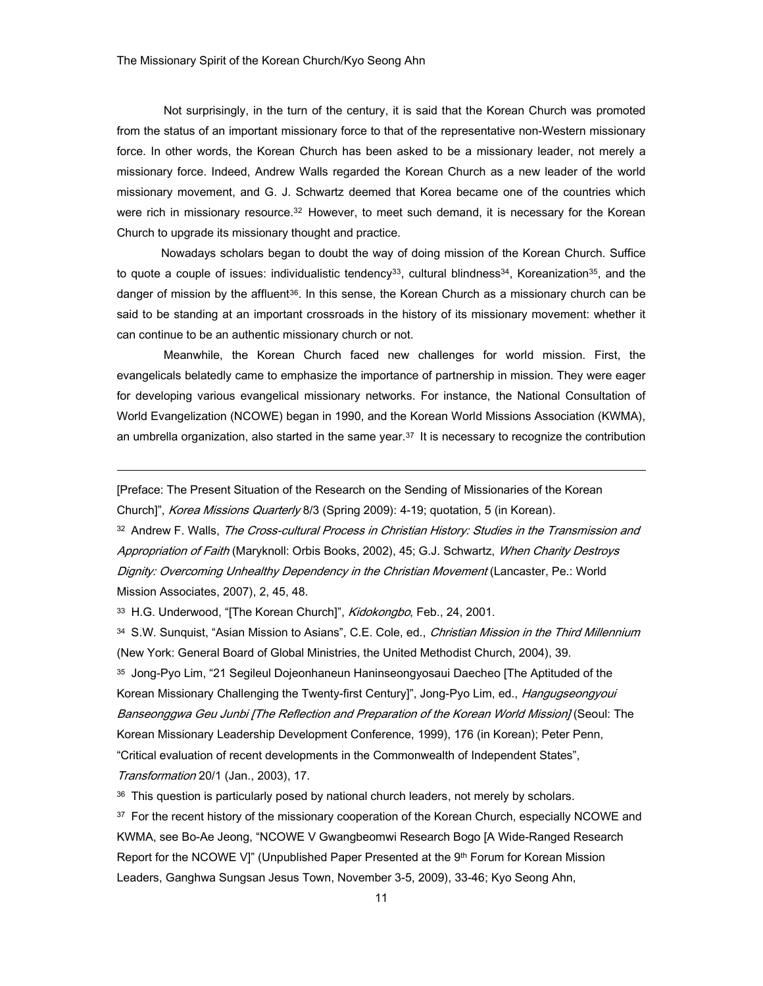Not surprisingly, in the turn of the century, it is said that the Korean Church was promoted from the status of an important missionary force to that of the representative non-Western missionary force. In other words, the Korean Church has been asked to be a missionary leader, not merely a missionary force. Indeed, Andrew Walls regarded the Korean Church as a new leader of the world missionary movement, and G. J. Schwartz deemed that Korea became one of the countries which were rich in missionary resource.<sup>32</sup> However, to meet such demand, it is necessary for the Korean Church to upgrade its missionary thought and practice.

Nowadays scholars began to doubt the way of doing mission of the Korean Church. Suffice to quote a couple of issues: individualistic tendency<sup>33</sup>, cultural blindness<sup>34</sup>, Koreanization<sup>35</sup>, and the danger of mission by the affluent<sup>36</sup>. In this sense, the Korean Church as a missionary church can be said to be standing at an important crossroads in the history of its missionary movement: whether it can continue to be an authentic missionary church or not.

Meanwhile, the Korean Church faced new challenges for world mission. First, the evangelicals belatedly came to emphasize the importance of partnership in mission. They were eager for developing various evangelical missionary networks. For instance, the National Consultation of World Evangelization (NCOWE) began in 1990, and the Korean World Missions Association (KWMA), an umbrella organization, also started in the same year. $37$  It is necessary to recognize the contribution

[Preface: The Present Situation of the Research on the Sending of Missionaries of the Korean Church]", Korea Missions Quarterly 8/3 (Spring 2009): 4-19; quotation, 5 (in Korean).

32 Andrew F. Walls, The Cross-cultural Process in Christian History: Studies in the Transmission and Appropriation of Faith (Maryknoll: Orbis Books, 2002), 45; G.J. Schwartz, When Charity Destroys Dignity: Overcoming Unhealthy Dependency in the Christian Movement (Lancaster, Pe.: World Mission Associates, 2007), 2, 45, 48.

33 H.G. Underwood, "[The Korean Church]", Kidokongbo, Feb., 24, 2001.

-

<sup>34</sup> S.W. Sunquist, "Asian Mission to Asians", C.E. Cole, ed., *Christian Mission in the Third Millennium* (New York: General Board of Global Ministries, the United Methodist Church, 2004), 39. 35 Jong-Pyo Lim, "21 Segileul Dojeonhaneun Haninseongyosaui Daecheo [The Aptituded of the Korean Missionary Challenging the Twenty-first Century]", Jong-Pyo Lim, ed., Hangugseongyoui Banseonggwa Geu Junbi [The Reflection and Preparation of the Korean World Mission] (Seoul: The Korean Missionary Leadership Development Conference, 1999), 176 (in Korean); Peter Penn, "Critical evaluation of recent developments in the Commonwealth of Independent States", Transformation 20/1 (Jan., 2003), 17.

<sup>36</sup> This question is particularly posed by national church leaders, not merely by scholars.

<sup>37</sup> For the recent history of the missionary cooperation of the Korean Church, especially NCOWE and KWMA, see Bo-Ae Jeong, "NCOWE V Gwangbeomwi Research Bogo [A Wide-Ranged Research Report for the NCOWE V]" (Unpublished Paper Presented at the 9<sup>th</sup> Forum for Korean Mission Leaders, Ganghwa Sungsan Jesus Town, November 3-5, 2009), 33-46; Kyo Seong Ahn,